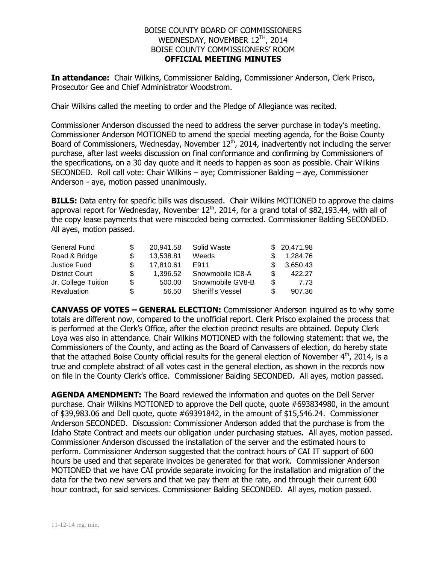## BOISE COUNTY BOARD OF COMMISSIONERS WEDNESDAY, NOVEMBER 12 TH , 2014 BOISE COUNTY COMMISSIONERS' ROOM **OFFICIAL MEETING MINUTES**

**In attendance:** Chair Wilkins, Commissioner Balding, Commissioner Anderson, Clerk Prisco, Prosecutor Gee and Chief Administrator Woodstrom.

Chair Wilkins called the meeting to order and the Pledge of Allegiance was recited.

Commissioner Anderson discussed the need to address the server purchase in today's meeting. Commissioner Anderson MOTIONED to amend the special meeting agenda, for the Boise County Board of Commissioners, Wednesday, November  $12<sup>th</sup>$ , 2014, inadvertently not including the server purchase, after last weeks discussion on final conformance and confirming by Commissioners of the specifications, on a 30 day quote and it needs to happen as soon as possible. Chair Wilkins SECONDED. Roll call vote: Chair Wilkins – aye; Commissioner Balding – aye, Commissioner Anderson - aye, motion passed unanimously.

**BILLS:** Data entry for specific bills was discussed. Chair Wilkins MOTIONED to approve the claims approval report for Wednesday, November  $12<sup>th</sup>$ , 2014, for a grand total of \$82,193.44, with all of the copy lease payments that were miscoded being corrected. Commissioner Balding SECONDED. All ayes, motion passed.

| General Fund          |     | 20.941.58 | Solid Waste             |     | \$20,471.98 |
|-----------------------|-----|-----------|-------------------------|-----|-------------|
| Road & Bridge         |     | 13,538.81 | Weeds                   |     | 1,284.76    |
| Justice Fund          |     | 17,810.61 | E911                    |     | 3,650.43    |
| <b>District Court</b> | \$. | 1.396.52  | Snowmobile IC8-A        |     | 422.27      |
| Jr. College Tuition   | S   | 500.00    | Snowmobile GV8-B        | \$. | 7.73        |
| Revaluation           | S   | 56.50     | <b>Sheriff's Vessel</b> |     | 907.36      |

**CANVASS OF VOTES – GENERAL ELECTION:** Commissioner Anderson inquired as to why some totals are different now, compared to the unofficial report. Clerk Prisco explained the process that is performed at the Clerk's Office, after the election precinct results are obtained. Deputy Clerk Loya was also in attendance. Chair Wilkins MOTIONED with the following statement: that we, the Commissioners of the County, and acting as the Board of Canvassers of election, do hereby state that the attached Boise County official results for the general election of November  $4<sup>th</sup>$ , 2014, is a true and complete abstract of all votes cast in the general election, as shown in the records now on file in the County Clerk's office. Commissioner Balding SECONDED. All ayes, motion passed.

**AGENDA AMENDMENT:** The Board reviewed the information and quotes on the Dell Server purchase. Chair Wilkins MOTIONED to approve the Dell quote, quote #693834980, in the amount of \$39,983.06 and Dell quote, quote #69391842, in the amount of \$15,546.24. Commissioner Anderson SECONDED. Discussion: Commissioner Anderson added that the purchase is from the Idaho State Contract and meets our obligation under purchasing statues. All ayes, motion passed. Commissioner Anderson discussed the installation of the server and the estimated hours to perform. Commissioner Anderson suggested that the contract hours of CAI IT support of 600 hours be used and that separate invoices be generated for that work. Commissioner Anderson MOTIONED that we have CAI provide separate invoicing for the installation and migration of the data for the two new servers and that we pay them at the rate, and through their current 600 hour contract, for said services. Commissioner Balding SECONDED. All ayes, motion passed.